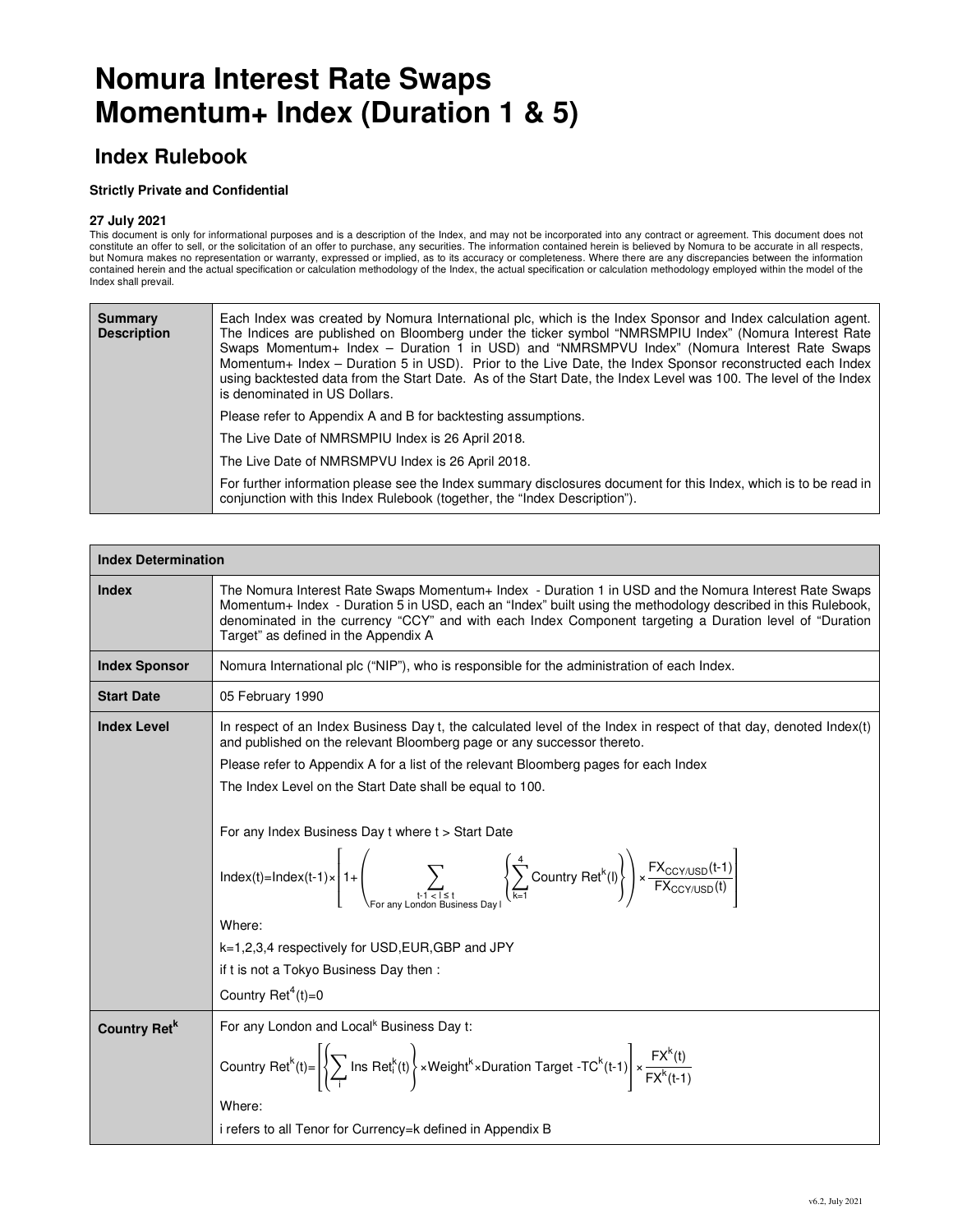# **Nomura Interest Rate Swaps Momentum+ Index (Duration 1 & 5)**

### **Index Rulebook**

#### **Strictly Private and Confidential**

#### **27 July 2021**

This document is only for informational purposes and is a description of the Index, and may not be incorporated into any contract or agreement. This document does not constitute an offer to sell, or the solicitation of an offer to purchase, any securities. The information contained herein is believed by Nomura to be accurate in all respects, but Nomura makes no representation or warranty, expressed or implied, as to its accuracy or completeness. Where there are any discrepancies between the information contained herein and the actual specification or calculation methodology of the Index, the actual specification or calculation methodology employed within the model of the Index shall prevail.

| Summary<br><b>Description</b> | Each Index was created by Nomura International plc, which is the Index Sponsor and Index calculation agent.<br>The Indices are published on Bloomberg under the ticker symbol "NMRSMPIU Index" (Nomura Interest Rate<br>Swaps Momentum+ Index - Duration 1 in USD) and "NMRSMPVU Index" (Nomura Interest Rate Swaps<br>Momentum+ Index - Duration 5 in USD). Prior to the Live Date, the Index Sponsor reconstructed each Index<br>using backtested data from the Start Date. As of the Start Date, the Index Level was 100. The level of the Index<br>is denominated in US Dollars. |  |  |  |  |  |  |  |
|-------------------------------|--------------------------------------------------------------------------------------------------------------------------------------------------------------------------------------------------------------------------------------------------------------------------------------------------------------------------------------------------------------------------------------------------------------------------------------------------------------------------------------------------------------------------------------------------------------------------------------|--|--|--|--|--|--|--|
|                               | Please refer to Appendix A and B for backtesting assumptions.                                                                                                                                                                                                                                                                                                                                                                                                                                                                                                                        |  |  |  |  |  |  |  |
|                               | The Live Date of NMRSMPIU Index is 26 April 2018.                                                                                                                                                                                                                                                                                                                                                                                                                                                                                                                                    |  |  |  |  |  |  |  |
|                               | The Live Date of NMRSMPVU Index is 26 April 2018.                                                                                                                                                                                                                                                                                                                                                                                                                                                                                                                                    |  |  |  |  |  |  |  |
|                               | For further information please see the Index summary disclosures document for this Index, which is to be read in<br>conjunction with this Index Rulebook (together, the "Index Description").                                                                                                                                                                                                                                                                                                                                                                                        |  |  |  |  |  |  |  |

| <b>Index Determination</b> |                                                                                                                                                                                                                                                                                                                                                                                                                                                                                                                                                                                                                                                                                                                                                 |  |  |  |  |  |
|----------------------------|-------------------------------------------------------------------------------------------------------------------------------------------------------------------------------------------------------------------------------------------------------------------------------------------------------------------------------------------------------------------------------------------------------------------------------------------------------------------------------------------------------------------------------------------------------------------------------------------------------------------------------------------------------------------------------------------------------------------------------------------------|--|--|--|--|--|
| <b>Index</b>               | The Nomura Interest Rate Swaps Momentum+ Index - Duration 1 in USD and the Nomura Interest Rate Swaps<br>Momentum+ Index - Duration 5 in USD, each an "Index" built using the methodology described in this Rulebook,<br>denominated in the currency "CCY" and with each Index Component targeting a Duration level of "Duration"<br>Target" as defined in the Appendix A                                                                                                                                                                                                                                                                                                                                                                       |  |  |  |  |  |
| <b>Index Sponsor</b>       | Nomura International plc ("NIP"), who is responsible for the administration of each Index.                                                                                                                                                                                                                                                                                                                                                                                                                                                                                                                                                                                                                                                      |  |  |  |  |  |
| <b>Start Date</b>          | 05 February 1990                                                                                                                                                                                                                                                                                                                                                                                                                                                                                                                                                                                                                                                                                                                                |  |  |  |  |  |
| <b>Index Level</b>         | In respect of an Index Business Day t, the calculated level of the Index in respect of that day, denoted Index(t)<br>and published on the relevant Bloomberg page or any successor thereto.<br>Please refer to Appendix A for a list of the relevant Bloomberg pages for each Index<br>The Index Level on the Start Date shall be equal to 100.<br>For any Index Business Day t where t > Start Date<br>$Index(t)=Index(t-1) \times \left[1+\left(\sum_{t-1 < t \leq t} \sum_{s \in t} \left(\sum_{k=1}^{4} Country Ret^{k}(l)\right)\right) \times \frac{FX_{CCY/USD}(t-1)}{FX_{CCY/USD}(t)}\right]$<br>Where:<br>k=1,2,3,4 respectively for USD, EUR, GBP and JPY<br>if t is not a Tokyo Business Day then:<br>Country Ret <sup>4</sup> (t)=0 |  |  |  |  |  |
| Country Ret <sup>k</sup>   | For any London and Local <sup>k</sup> Business Day t:                                                                                                                                                                                                                                                                                                                                                                                                                                                                                                                                                                                                                                                                                           |  |  |  |  |  |
|                            | Country Ret <sup>k</sup> (t)= $\left\{ \left\{ \sum_i \text{Ins Ret}_i^k(t) \right\} \times \text{Weight}^k \times \text{Duration Target -TC}^k(t-1) \right\} \times \frac{FX^k(t)}{FX^k(t-1)}$<br>Where:<br>i refers to all Tenor for Currency=k defined in Appendix B                                                                                                                                                                                                                                                                                                                                                                                                                                                                         |  |  |  |  |  |
|                            |                                                                                                                                                                                                                                                                                                                                                                                                                                                                                                                                                                                                                                                                                                                                                 |  |  |  |  |  |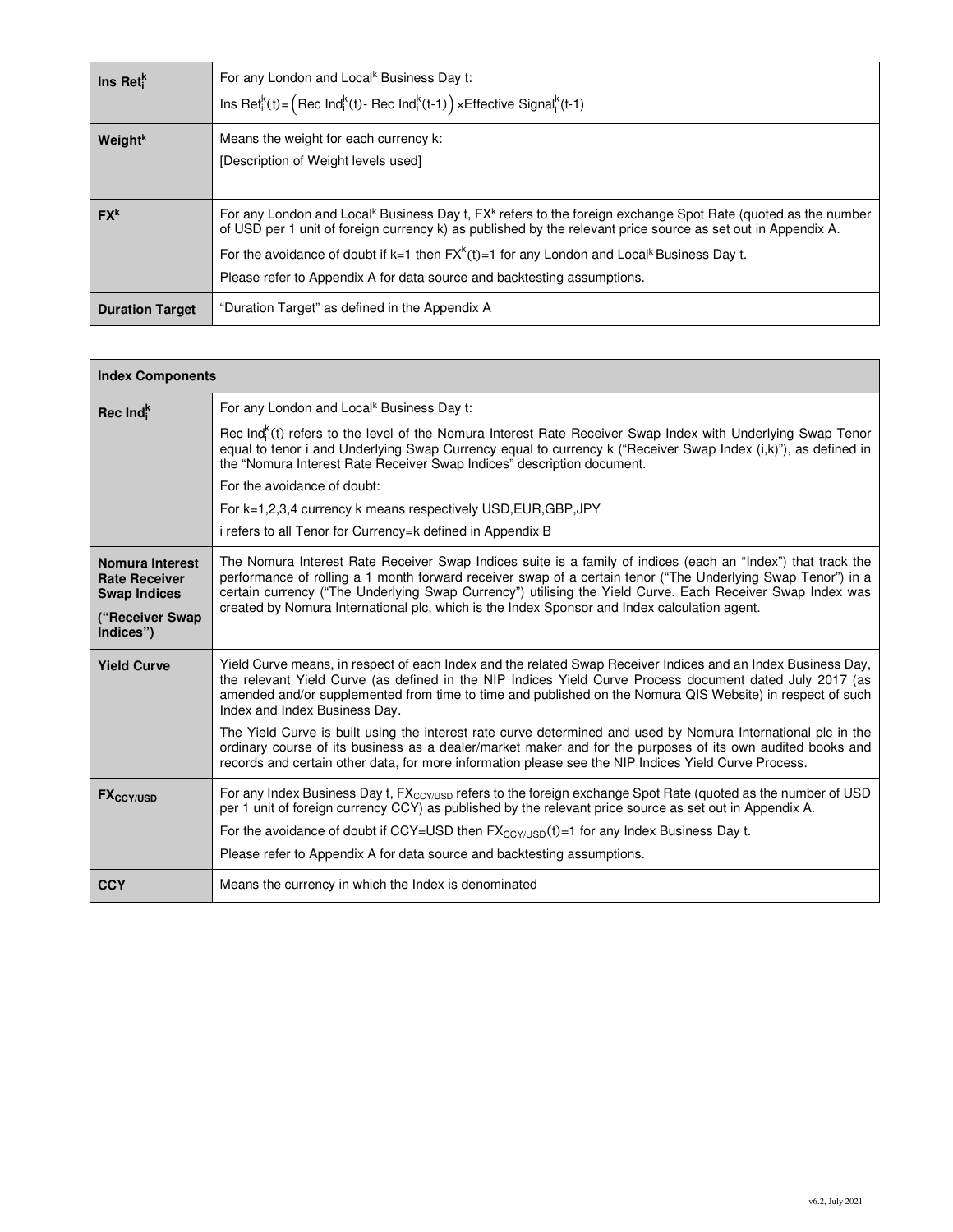| $\ln s$ Ret <sup><math>K</math></sup> | For any London and Local <sup>k</sup> Business Day t:<br>Ins Ret <sup>k</sup> <sub>i</sub> (t) = $($ Rec Ind <sup>k</sup> <sub>i</sub> (t) - Rec Ind <sup>k</sup> <sub>i</sub> (t-1) $) \times$ Effective Signal <sub>i</sub> <sup>k</sup> (t-1)                                                                                                                                                                                              |
|---------------------------------------|-----------------------------------------------------------------------------------------------------------------------------------------------------------------------------------------------------------------------------------------------------------------------------------------------------------------------------------------------------------------------------------------------------------------------------------------------|
| <b>Weight</b> <sup>k</sup>            | Means the weight for each currency k:<br>[Description of Weight levels used]                                                                                                                                                                                                                                                                                                                                                                  |
| FX <sup>k</sup>                       | For any London and Local <sup>k</sup> Business Day t, FX <sup>k</sup> refers to the foreign exchange Spot Rate (quoted as the number<br>of USD per 1 unit of foreign currency k) as published by the relevant price source as set out in Appendix A.<br>For the avoidance of doubt if k=1 then $FX^{k}(t)=1$ for any London and Local <sup>k</sup> Business Day t.<br>Please refer to Appendix A for data source and backtesting assumptions. |
| <b>Duration Target</b>                | "Duration Target" as defined in the Appendix A                                                                                                                                                                                                                                                                                                                                                                                                |

| <b>Index Components</b>                                        |                                                                                                                                                                                                                                                                                                                                                                                                                                           |  |  |  |  |  |
|----------------------------------------------------------------|-------------------------------------------------------------------------------------------------------------------------------------------------------------------------------------------------------------------------------------------------------------------------------------------------------------------------------------------------------------------------------------------------------------------------------------------|--|--|--|--|--|
| Rec Ind <sup>K</sup>                                           | For any London and Local <sup>k</sup> Business Day t:                                                                                                                                                                                                                                                                                                                                                                                     |  |  |  |  |  |
|                                                                | Rec Ind ${}_{n}^{k}(t)$ refers to the level of the Nomura Interest Rate Receiver Swap Index with Underlying Swap Tenor<br>equal to tenor i and Underlying Swap Currency equal to currency k ("Receiver Swap Index (i,k)"), as defined in<br>the "Nomura Interest Rate Receiver Swap Indices" description document.                                                                                                                        |  |  |  |  |  |
|                                                                | For the avoidance of doubt:                                                                                                                                                                                                                                                                                                                                                                                                               |  |  |  |  |  |
|                                                                | For k=1,2,3,4 currency k means respectively USD, EUR, GBP, JPY                                                                                                                                                                                                                                                                                                                                                                            |  |  |  |  |  |
|                                                                | i refers to all Tenor for Currency=k defined in Appendix B                                                                                                                                                                                                                                                                                                                                                                                |  |  |  |  |  |
| Nomura Interest<br><b>Rate Receiver</b><br><b>Swap Indices</b> | The Nomura Interest Rate Receiver Swap Indices suite is a family of indices (each an "Index") that track the<br>performance of rolling a 1 month forward receiver swap of a certain tenor ("The Underlying Swap Tenor") in a<br>certain currency ("The Underlying Swap Currency") utilising the Yield Curve. Each Receiver Swap Index was<br>created by Nomura International plc, which is the Index Sponsor and Index calculation agent. |  |  |  |  |  |
| ("Receiver Swap<br>Indices")                                   |                                                                                                                                                                                                                                                                                                                                                                                                                                           |  |  |  |  |  |
| <b>Yield Curve</b>                                             | Yield Curve means, in respect of each Index and the related Swap Receiver Indices and an Index Business Day,<br>the relevant Yield Curve (as defined in the NIP Indices Yield Curve Process document dated July 2017 (as<br>amended and/or supplemented from time to time and published on the Nomura QIS Website) in respect of such<br>Index and Index Business Day.                                                                    |  |  |  |  |  |
|                                                                | The Yield Curve is built using the interest rate curve determined and used by Nomura International plc in the<br>ordinary course of its business as a dealer/market maker and for the purposes of its own audited books and<br>records and certain other data, for more information please see the NIP Indices Yield Curve Process.                                                                                                       |  |  |  |  |  |
| <b>FXCCY/USD</b>                                               | For any Index Business Day t, FX <sub>CCY/USD</sub> refers to the foreign exchange Spot Rate (quoted as the number of USD<br>per 1 unit of foreign currency CCY) as published by the relevant price source as set out in Appendix A.<br>For the avoidance of doubt if CCY=USD then $FX_{CCY/USD}(t)=1$ for any Index Business Day t.<br>Please refer to Appendix A for data source and backtesting assumptions.                           |  |  |  |  |  |
| <b>CCY</b>                                                     | Means the currency in which the Index is denominated                                                                                                                                                                                                                                                                                                                                                                                      |  |  |  |  |  |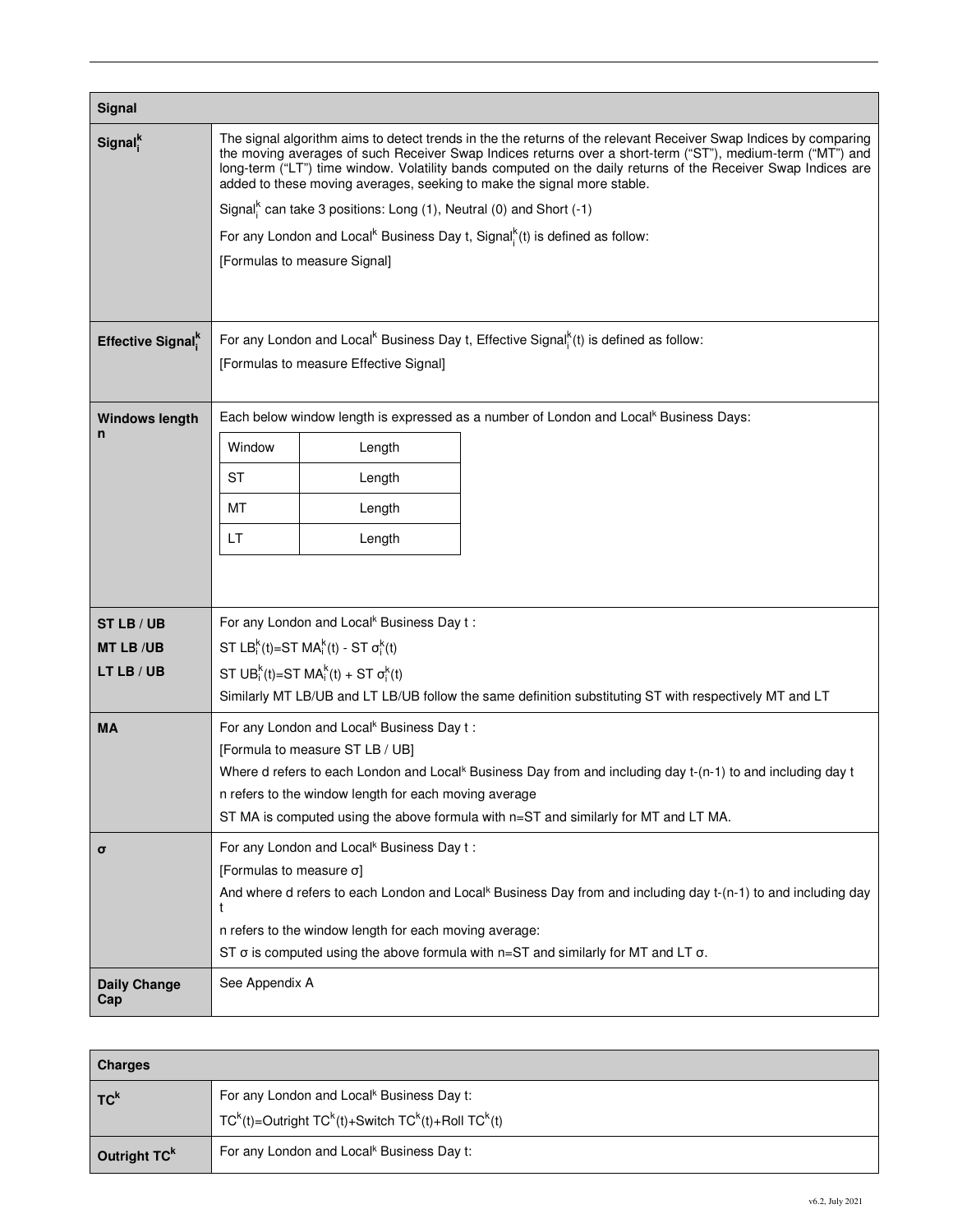| Signal                        |                                                                                                                                                                                                                                                                                                                                                                                                                            |                                                                                              |                                                                                                        |  |  |  |  |
|-------------------------------|----------------------------------------------------------------------------------------------------------------------------------------------------------------------------------------------------------------------------------------------------------------------------------------------------------------------------------------------------------------------------------------------------------------------------|----------------------------------------------------------------------------------------------|--------------------------------------------------------------------------------------------------------|--|--|--|--|
| Signal <sup>k</sup>           | The signal algorithm aims to detect trends in the the returns of the relevant Receiver Swap Indices by comparing<br>the moving averages of such Receiver Swap Indices returns over a short-term ("ST"), medium-term ("MT") and<br>long-term ("LT") time window. Volatility bands computed on the daily returns of the Receiver Swap Indices are<br>added to these moving averages, seeking to make the signal more stable. |                                                                                              |                                                                                                        |  |  |  |  |
|                               |                                                                                                                                                                                                                                                                                                                                                                                                                            |                                                                                              | Signal <sup>k</sup> can take 3 positions: Long (1), Neutral (0) and Short $(-1)$                       |  |  |  |  |
|                               |                                                                                                                                                                                                                                                                                                                                                                                                                            |                                                                                              | For any London and Local <sup>k</sup> Business Day t, Signal <sup>k</sup> (t) is defined as follow:    |  |  |  |  |
|                               |                                                                                                                                                                                                                                                                                                                                                                                                                            | [Formulas to measure Signal]                                                                 |                                                                                                        |  |  |  |  |
| Effective Signal <sup>k</sup> | For any London and Local <sup>k</sup> Business Day t, Effective Signal <sup>k</sup> (t) is defined as follow:<br>[Formulas to measure Effective Signal]                                                                                                                                                                                                                                                                    |                                                                                              |                                                                                                        |  |  |  |  |
| <b>Windows length</b>         |                                                                                                                                                                                                                                                                                                                                                                                                                            |                                                                                              | Each below window length is expressed as a number of London and Local <sup>k</sup> Business Days:      |  |  |  |  |
| n                             | Window                                                                                                                                                                                                                                                                                                                                                                                                                     | Length                                                                                       |                                                                                                        |  |  |  |  |
|                               | ST                                                                                                                                                                                                                                                                                                                                                                                                                         | Length                                                                                       |                                                                                                        |  |  |  |  |
|                               | МT                                                                                                                                                                                                                                                                                                                                                                                                                         | Length                                                                                       |                                                                                                        |  |  |  |  |
|                               | LT                                                                                                                                                                                                                                                                                                                                                                                                                         | Length                                                                                       |                                                                                                        |  |  |  |  |
|                               |                                                                                                                                                                                                                                                                                                                                                                                                                            |                                                                                              |                                                                                                        |  |  |  |  |
| ST LB / UB                    | For any London and Local <sup>k</sup> Business Day t:                                                                                                                                                                                                                                                                                                                                                                      |                                                                                              |                                                                                                        |  |  |  |  |
| <b>MT LB/UB</b>               |                                                                                                                                                                                                                                                                                                                                                                                                                            | ST LB <sup>k</sup> <sub>i</sub> (t)=ST MA <sup>k</sup> <sub>i</sub> (t) - ST $\sigma_i^k(t)$ |                                                                                                        |  |  |  |  |
| LT LB / UB                    | ST UB <sub>i</sub> <sup>k</sup> (t)=ST MA <sup>k</sup> <sub>i</sub> (t) + ST $\sigma_i^k(t)$                                                                                                                                                                                                                                                                                                                               |                                                                                              |                                                                                                        |  |  |  |  |
|                               |                                                                                                                                                                                                                                                                                                                                                                                                                            |                                                                                              | Similarly MT LB/UB and LT LB/UB follow the same definition substituting ST with respectively MT and LT |  |  |  |  |
| MA                            | For any London and Local <sup>k</sup> Business Day t:                                                                                                                                                                                                                                                                                                                                                                      |                                                                                              |                                                                                                        |  |  |  |  |
|                               | [Formula to measure ST LB / UB]<br>Where d refers to each London and Local <sup>k</sup> Business Day from and including day t-(n-1) to and including day t                                                                                                                                                                                                                                                                 |                                                                                              |                                                                                                        |  |  |  |  |
|                               | n refers to the window length for each moving average                                                                                                                                                                                                                                                                                                                                                                      |                                                                                              |                                                                                                        |  |  |  |  |
|                               | ST MA is computed using the above formula with n=ST and similarly for MT and LT MA.                                                                                                                                                                                                                                                                                                                                        |                                                                                              |                                                                                                        |  |  |  |  |
| σ                             | For any London and Local <sup>k</sup> Business Day t:                                                                                                                                                                                                                                                                                                                                                                      |                                                                                              |                                                                                                        |  |  |  |  |
|                               | [Formulas to measure o]<br>And where d refers to each London and Local <sup>k</sup> Business Day from and including day t-(n-1) to and including day                                                                                                                                                                                                                                                                       |                                                                                              |                                                                                                        |  |  |  |  |
|                               |                                                                                                                                                                                                                                                                                                                                                                                                                            |                                                                                              |                                                                                                        |  |  |  |  |
|                               | n refers to the window length for each moving average:                                                                                                                                                                                                                                                                                                                                                                     |                                                                                              |                                                                                                        |  |  |  |  |
|                               | ST $\sigma$ is computed using the above formula with n=ST and similarly for MT and LT $\sigma$ .                                                                                                                                                                                                                                                                                                                           |                                                                                              |                                                                                                        |  |  |  |  |
| <b>Daily Change</b><br>Cap    | See Appendix A                                                                                                                                                                                                                                                                                                                                                                                                             |                                                                                              |                                                                                                        |  |  |  |  |

| Charges         |                                                                                                                                                        |
|-----------------|--------------------------------------------------------------------------------------------------------------------------------------------------------|
| T <sup>K</sup>  | For any London and Local <sup>k</sup> Business Day t:<br>$TC^{k}(t)$ =Outright TC <sup>k</sup> (t)+Switch TC <sup>k</sup> (t)+Roll TC <sup>k</sup> (t) |
| Outright $TC^k$ | For any London and Local <sup>k</sup> Business Day t:                                                                                                  |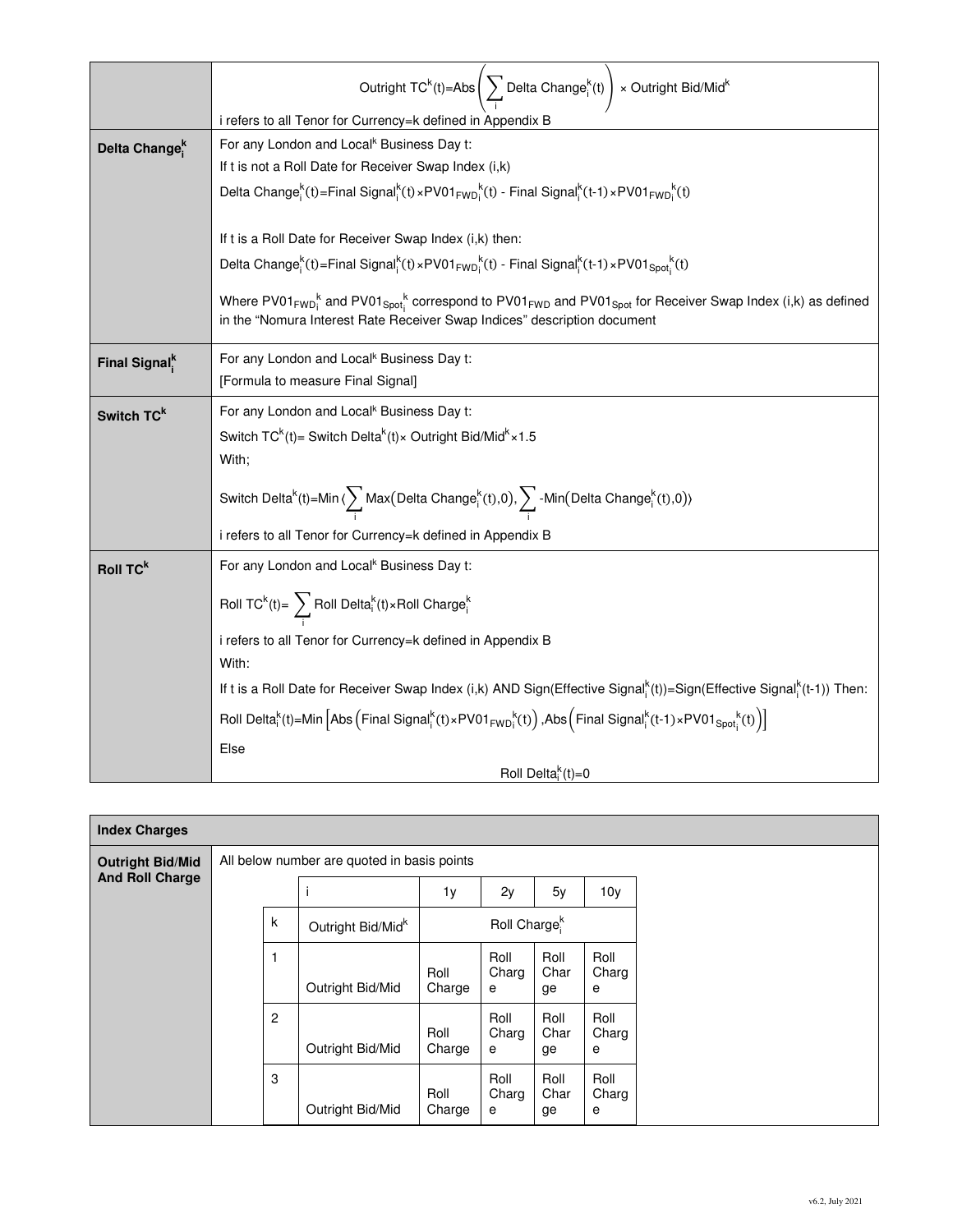|                           | Outright $TC^{k}(t) = Abs \Bigg(\sum Delta Change^{k}_{i}(t) \Bigg) \times Output$ right Bid/Mid <sup>k</sup>                                                                                                                                                                 |  |  |  |  |  |  |  |
|---------------------------|-------------------------------------------------------------------------------------------------------------------------------------------------------------------------------------------------------------------------------------------------------------------------------|--|--|--|--|--|--|--|
|                           | i refers to all Tenor for Currency=k defined in Appendix B                                                                                                                                                                                                                    |  |  |  |  |  |  |  |
| Delta Change <sup>k</sup> | For any London and Local <sup>k</sup> Business Day t:                                                                                                                                                                                                                         |  |  |  |  |  |  |  |
|                           | If t is not a Roll Date for Receiver Swap Index (i,k)                                                                                                                                                                                                                         |  |  |  |  |  |  |  |
|                           | Delta Change <sup>k</sup> (t)=Final Signal <sup>k</sup> (t)×PV01 <sub>FWDi</sub> k(t) - Final Signal <sup>k</sup> (t-1)×PV01 <sub>FWDi</sub> k(t)                                                                                                                             |  |  |  |  |  |  |  |
|                           |                                                                                                                                                                                                                                                                               |  |  |  |  |  |  |  |
|                           | If t is a Roll Date for Receiver Swap Index (i,k) then:                                                                                                                                                                                                                       |  |  |  |  |  |  |  |
|                           | Delta Change <sup>k</sup> (t)=Final Signal <sup>k</sup> (t)×PV01 <sub>FWDi</sub> <sup>k</sup> (t) - Final Signal <sup>k</sup> (t-1)×PV01 <sub>Spoti</sub> k(t)                                                                                                                |  |  |  |  |  |  |  |
|                           | Where PV01 <sub>FWDi</sub> <sup>k</sup> and PV01 <sub>Spot</sub> <sup>k</sup> correspond to PV01 <sub>FWD</sub> and PV01 <sub>Spot</sub> for Receiver Swap Index (i,k) as defined<br>in the "Nomura Interest Rate Receiver Swap Indices" description document                 |  |  |  |  |  |  |  |
| Final Signal <sup>k</sup> | For any London and Local <sup>k</sup> Business Day t:                                                                                                                                                                                                                         |  |  |  |  |  |  |  |
|                           | [Formula to measure Final Signal]                                                                                                                                                                                                                                             |  |  |  |  |  |  |  |
| Switch TC <sup>k</sup>    | For any London and Local <sup>k</sup> Business Day t:                                                                                                                                                                                                                         |  |  |  |  |  |  |  |
|                           | Switch $TC^{k}(t)$ = Switch Delta <sup>k</sup> (t) × Outright Bid/Mid <sup>k</sup> × 1.5                                                                                                                                                                                      |  |  |  |  |  |  |  |
|                           | With;                                                                                                                                                                                                                                                                         |  |  |  |  |  |  |  |
|                           | Switch Delta <sup>k</sup> (t)=Min $\langle \sum_{i} Max(Delta Change_i^k(t), 0), \sum_{i} -Min(Delta Change_i^k(t), 0) \rangle$                                                                                                                                               |  |  |  |  |  |  |  |
|                           | i refers to all Tenor for Currency=k defined in Appendix B                                                                                                                                                                                                                    |  |  |  |  |  |  |  |
| Roll TC <sup>k</sup>      | For any London and Local <sup>k</sup> Business Day t:                                                                                                                                                                                                                         |  |  |  |  |  |  |  |
|                           | Roll TC <sup>k</sup> (t)= $\sum$ Roll Delta <sup>k</sup> (t)×Roll Charge <sup>k</sup>                                                                                                                                                                                         |  |  |  |  |  |  |  |
|                           | i refers to all Tenor for Currency=k defined in Appendix B                                                                                                                                                                                                                    |  |  |  |  |  |  |  |
|                           | With:                                                                                                                                                                                                                                                                         |  |  |  |  |  |  |  |
|                           | If t is a Roll Date for Receiver Swap Index (i,k) AND Sign(Effective Signal, (t))=Sign(Effective Signal, (t-1)) Then:                                                                                                                                                         |  |  |  |  |  |  |  |
|                           | Roll Delta ${}^k_i(t)$ =Min $\left[\mathsf{Abs}\left(\mathsf{Final}\ \mathsf{Signal}^k_i(t) \times \mathsf{PV01}_{\mathsf{FWD}_i}{}^k(t)\right), \mathsf{Abs}\left(\mathsf{Final}\ \mathsf{Signal}^k_i(t\text{-}1) \times \mathsf{PV01}_{\mathsf{Spot}^k_i}(t)\right)\right]$ |  |  |  |  |  |  |  |
|                           | Else                                                                                                                                                                                                                                                                          |  |  |  |  |  |  |  |
|                           | Roll Delta <sup>k</sup> (t)=0                                                                                                                                                                                                                                                 |  |  |  |  |  |  |  |

| <b>Index Charges</b>    |  |                |                                             |                |                          |                    |                    |
|-------------------------|--|----------------|---------------------------------------------|----------------|--------------------------|--------------------|--------------------|
| <b>Outright Bid/Mid</b> |  |                | All below number are quoted in basis points |                |                          |                    |                    |
| <b>And Roll Charge</b>  |  |                |                                             | 1y             | 2y                       | 5y                 | 10y                |
|                         |  | k              | Outright Bid/Mid <sup>k</sup>               |                | Roll Charge <sup>k</sup> |                    |                    |
|                         |  | 1              | Outright Bid/Mid                            | Roll<br>Charge | Roll<br>Charg<br>е       | Roll<br>Char<br>ge | Roll<br>Charg<br>е |
|                         |  | $\overline{c}$ | Outright Bid/Mid                            | Roll<br>Charge | Roll<br>Charg<br>е       | Roll<br>Char<br>ge | Roll<br>Charg<br>е |
|                         |  | 3              | Outright Bid/Mid                            | Roll<br>Charge | Roll<br>Charg<br>е       | Roll<br>Char<br>ge | Roll<br>Charg<br>е |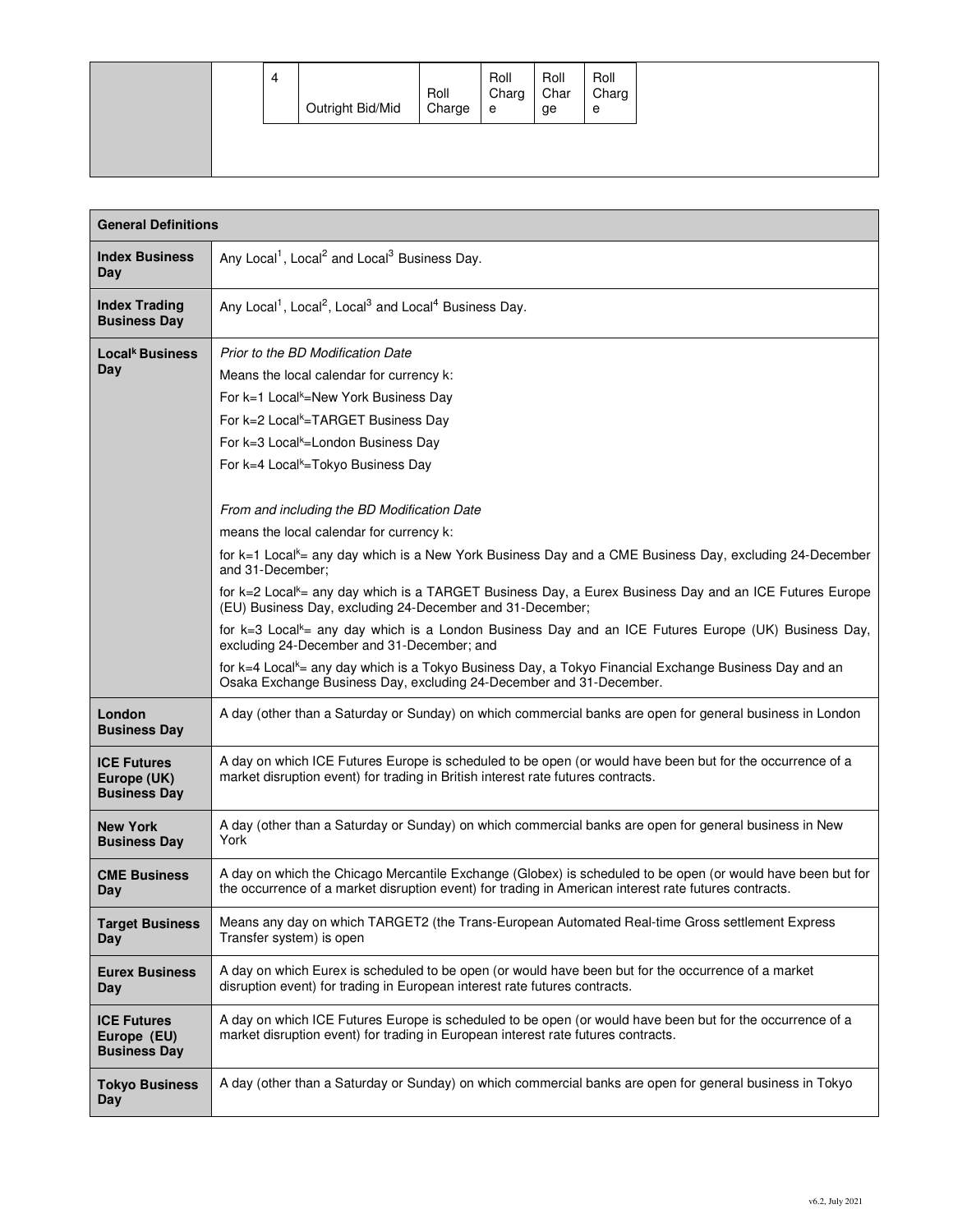|  | 4 | Outright Bid/Mid | Roll<br>Charge | Roll<br>Charg<br>e | Roll<br>Char<br>ge | Roll<br>Charg<br>e |
|--|---|------------------|----------------|--------------------|--------------------|--------------------|
|  |   |                  |                |                    |                    |                    |

| <b>General Definitions</b>                               |                                                                                                                                                                                                                                                                                                                                                                                                                                                                                                                                                                                                                                                                                                                                                                                                                                                                                                                                                                                                                                                                                     |
|----------------------------------------------------------|-------------------------------------------------------------------------------------------------------------------------------------------------------------------------------------------------------------------------------------------------------------------------------------------------------------------------------------------------------------------------------------------------------------------------------------------------------------------------------------------------------------------------------------------------------------------------------------------------------------------------------------------------------------------------------------------------------------------------------------------------------------------------------------------------------------------------------------------------------------------------------------------------------------------------------------------------------------------------------------------------------------------------------------------------------------------------------------|
| <b>Index Business</b><br>Day                             | Any Local <sup>1</sup> , Local <sup>2</sup> and Local <sup>3</sup> Business Day.                                                                                                                                                                                                                                                                                                                                                                                                                                                                                                                                                                                                                                                                                                                                                                                                                                                                                                                                                                                                    |
| <b>Index Trading</b><br><b>Business Day</b>              | Any Local <sup>1</sup> , Local <sup>2</sup> , Local <sup>3</sup> and Local <sup>4</sup> Business Day.                                                                                                                                                                                                                                                                                                                                                                                                                                                                                                                                                                                                                                                                                                                                                                                                                                                                                                                                                                               |
| Local <sup>k</sup> Business<br>Day                       | Prior to the BD Modification Date<br>Means the local calendar for currency k:<br>For k=1 Local <sup>k</sup> =New York Business Day<br>For k=2 Local <sup>k</sup> =TARGET Business Day<br>For k=3 Local <sup>k</sup> =London Business Day<br>For k=4 Local <sup>k</sup> =Tokyo Business Day<br>From and including the BD Modification Date<br>means the local calendar for currency k:<br>for k=1 Local <sup>k</sup> = any day which is a New York Business Day and a CME Business Day, excluding 24-December<br>and 31-December;<br>for k=2 Local <sup>k</sup> = any day which is a TARGET Business Day, a Eurex Business Day and an ICE Futures Europe<br>(EU) Business Day, excluding 24-December and 31-December;<br>for k=3 Local <sup>k</sup> = any day which is a London Business Day and an ICE Futures Europe (UK) Business Day,<br>excluding 24-December and 31-December; and<br>for k=4 Local <sup>k</sup> = any day which is a Tokyo Business Day, a Tokyo Financial Exchange Business Day and an<br>Osaka Exchange Business Day, excluding 24-December and 31-December. |
| London<br><b>Business Day</b>                            | A day (other than a Saturday or Sunday) on which commercial banks are open for general business in London                                                                                                                                                                                                                                                                                                                                                                                                                                                                                                                                                                                                                                                                                                                                                                                                                                                                                                                                                                           |
| <b>ICE Futures</b><br>Europe (UK)<br><b>Business Day</b> | A day on which ICE Futures Europe is scheduled to be open (or would have been but for the occurrence of a<br>market disruption event) for trading in British interest rate futures contracts.                                                                                                                                                                                                                                                                                                                                                                                                                                                                                                                                                                                                                                                                                                                                                                                                                                                                                       |
| <b>New York</b><br><b>Business Day</b>                   | A day (other than a Saturday or Sunday) on which commercial banks are open for general business in New<br>York                                                                                                                                                                                                                                                                                                                                                                                                                                                                                                                                                                                                                                                                                                                                                                                                                                                                                                                                                                      |
| <b>CME Business</b><br>Day                               | A day on which the Chicago Mercantile Exchange (Globex) is scheduled to be open (or would have been but for<br>the occurrence of a market disruption event) for trading in American interest rate futures contracts.                                                                                                                                                                                                                                                                                                                                                                                                                                                                                                                                                                                                                                                                                                                                                                                                                                                                |
| <b>Target Business</b><br>Day                            | Means any day on which TARGET2 (the Trans-European Automated Real-time Gross settlement Express<br>Transfer system) is open                                                                                                                                                                                                                                                                                                                                                                                                                                                                                                                                                                                                                                                                                                                                                                                                                                                                                                                                                         |
| <b>Eurex Business</b><br>Day                             | A day on which Eurex is scheduled to be open (or would have been but for the occurrence of a market<br>disruption event) for trading in European interest rate futures contracts.                                                                                                                                                                                                                                                                                                                                                                                                                                                                                                                                                                                                                                                                                                                                                                                                                                                                                                   |
| <b>ICE Futures</b><br>Europe (EU)<br><b>Business Day</b> | A day on which ICE Futures Europe is scheduled to be open (or would have been but for the occurrence of a<br>market disruption event) for trading in European interest rate futures contracts.                                                                                                                                                                                                                                                                                                                                                                                                                                                                                                                                                                                                                                                                                                                                                                                                                                                                                      |
| <b>Tokyo Business</b><br>Day                             | A day (other than a Saturday or Sunday) on which commercial banks are open for general business in Tokyo                                                                                                                                                                                                                                                                                                                                                                                                                                                                                                                                                                                                                                                                                                                                                                                                                                                                                                                                                                            |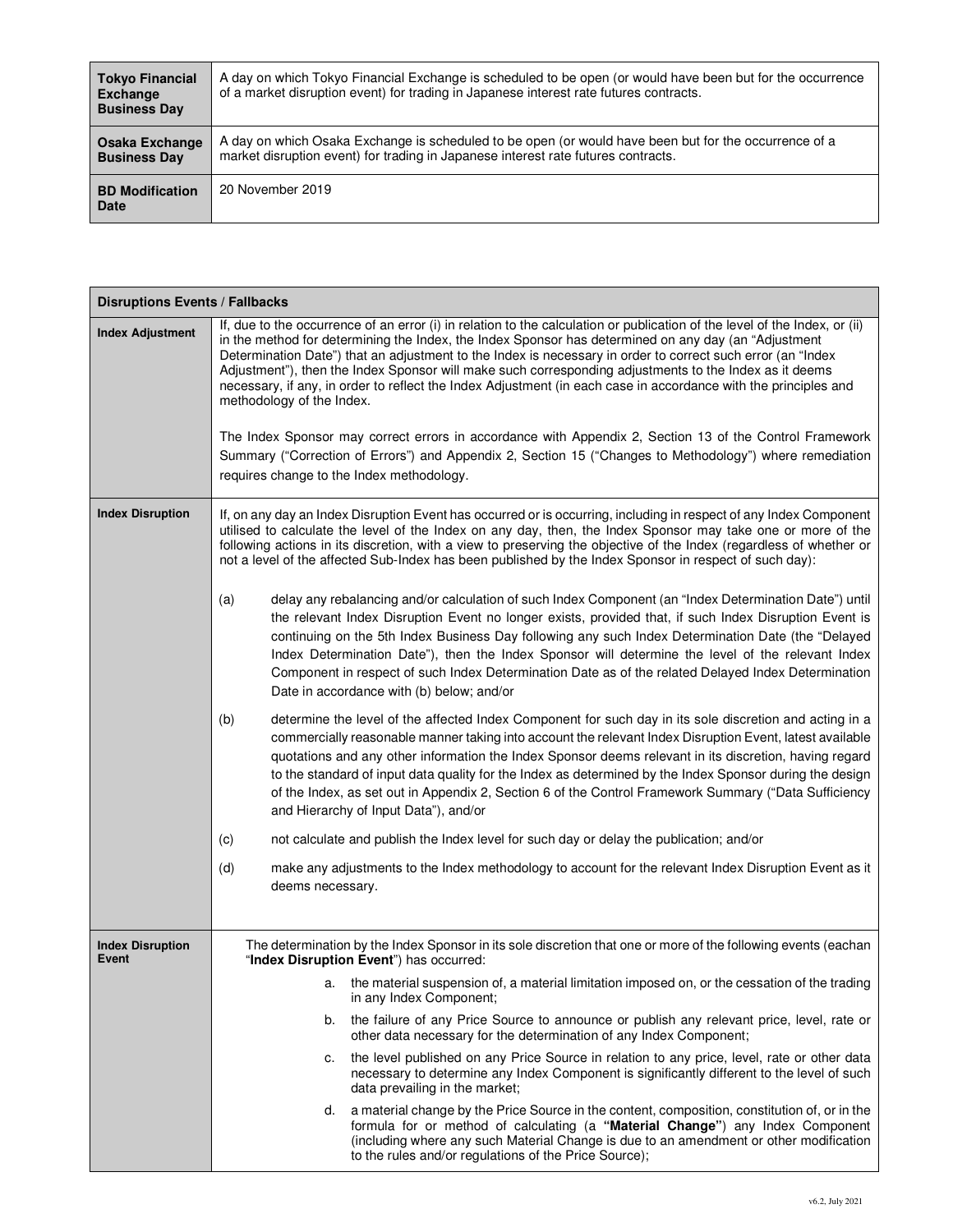| <b>Tokyo Financial</b><br>Exchange<br><b>Business Day</b> | A day on which Tokyo Financial Exchange is scheduled to be open (or would have been but for the occurrence<br>of a market disruption event) for trading in Japanese interest rate futures contracts. |
|-----------------------------------------------------------|------------------------------------------------------------------------------------------------------------------------------------------------------------------------------------------------------|
| Osaka Exchange<br><b>Business Day</b>                     | A day on which Osaka Exchange is scheduled to be open (or would have been but for the occurrence of a<br>market disruption event) for trading in Japanese interest rate futures contracts.           |
| <b>BD Modification</b><br>Date                            | 20 November 2019                                                                                                                                                                                     |

| <b>Disruptions Events / Fallbacks</b> |                                                                                                                                                                                                                                                                                                                                                                                                                                                                                                                                                                                                             |  |  |  |  |  |  |
|---------------------------------------|-------------------------------------------------------------------------------------------------------------------------------------------------------------------------------------------------------------------------------------------------------------------------------------------------------------------------------------------------------------------------------------------------------------------------------------------------------------------------------------------------------------------------------------------------------------------------------------------------------------|--|--|--|--|--|--|
| <b>Index Adjustment</b>               | If, due to the occurrence of an error (i) in relation to the calculation or publication of the level of the Index, or (ii)<br>in the method for determining the Index, the Index Sponsor has determined on any day (an "Adjustment<br>Determination Date") that an adjustment to the Index is necessary in order to correct such error (an "Index<br>Adjustment"), then the Index Sponsor will make such corresponding adjustments to the Index as it deems<br>necessary, if any, in order to reflect the Index Adjustment (in each case in accordance with the principles and<br>methodology of the Index. |  |  |  |  |  |  |
|                                       | The Index Sponsor may correct errors in accordance with Appendix 2, Section 13 of the Control Framework<br>Summary ("Correction of Errors") and Appendix 2, Section 15 ("Changes to Methodology") where remediation<br>requires change to the Index methodology.                                                                                                                                                                                                                                                                                                                                            |  |  |  |  |  |  |
| <b>Index Disruption</b>               | If, on any day an Index Disruption Event has occurred or is occurring, including in respect of any Index Component<br>utilised to calculate the level of the Index on any day, then, the Index Sponsor may take one or more of the<br>following actions in its discretion, with a view to preserving the objective of the Index (regardless of whether or<br>not a level of the affected Sub-Index has been published by the Index Sponsor in respect of such day):                                                                                                                                         |  |  |  |  |  |  |
|                                       | delay any rebalancing and/or calculation of such Index Component (an "Index Determination Date") until<br>(a)<br>the relevant Index Disruption Event no longer exists, provided that, if such Index Disruption Event is<br>continuing on the 5th Index Business Day following any such Index Determination Date (the "Delayed<br>Index Determination Date"), then the Index Sponsor will determine the level of the relevant Index<br>Component in respect of such Index Determination Date as of the related Delayed Index Determination<br>Date in accordance with (b) below; and/or                      |  |  |  |  |  |  |
|                                       | (b)<br>determine the level of the affected Index Component for such day in its sole discretion and acting in a<br>commercially reasonable manner taking into account the relevant Index Disruption Event, latest available<br>quotations and any other information the Index Sponsor deems relevant in its discretion, having regard<br>to the standard of input data quality for the Index as determined by the Index Sponsor during the design<br>of the Index, as set out in Appendix 2, Section 6 of the Control Framework Summary ("Data Sufficiency<br>and Hierarchy of Input Data"), and/or          |  |  |  |  |  |  |
|                                       | not calculate and publish the Index level for such day or delay the publication; and/or<br>(c)                                                                                                                                                                                                                                                                                                                                                                                                                                                                                                              |  |  |  |  |  |  |
|                                       | (d)<br>make any adjustments to the Index methodology to account for the relevant Index Disruption Event as it<br>deems necessary.                                                                                                                                                                                                                                                                                                                                                                                                                                                                           |  |  |  |  |  |  |
| <b>Index Disruption</b><br>Event      | The determination by the Index Sponsor in its sole discretion that one or more of the following events (eachan<br>"Index Disruption Event") has occurred:                                                                                                                                                                                                                                                                                                                                                                                                                                                   |  |  |  |  |  |  |
|                                       | a. the material suspension of, a material limitation imposed on, or the cessation of the trading<br>in any Index Component;                                                                                                                                                                                                                                                                                                                                                                                                                                                                                 |  |  |  |  |  |  |
|                                       | the failure of any Price Source to announce or publish any relevant price, level, rate or<br>b.<br>other data necessary for the determination of any Index Component;                                                                                                                                                                                                                                                                                                                                                                                                                                       |  |  |  |  |  |  |
|                                       | the level published on any Price Source in relation to any price, level, rate or other data<br>c.<br>necessary to determine any Index Component is significantly different to the level of such<br>data prevailing in the market;                                                                                                                                                                                                                                                                                                                                                                           |  |  |  |  |  |  |
|                                       | a material change by the Price Source in the content, composition, constitution of, or in the<br>d.<br>formula for or method of calculating (a "Material Change") any Index Component<br>(including where any such Material Change is due to an amendment or other modification<br>to the rules and/or regulations of the Price Source);                                                                                                                                                                                                                                                                    |  |  |  |  |  |  |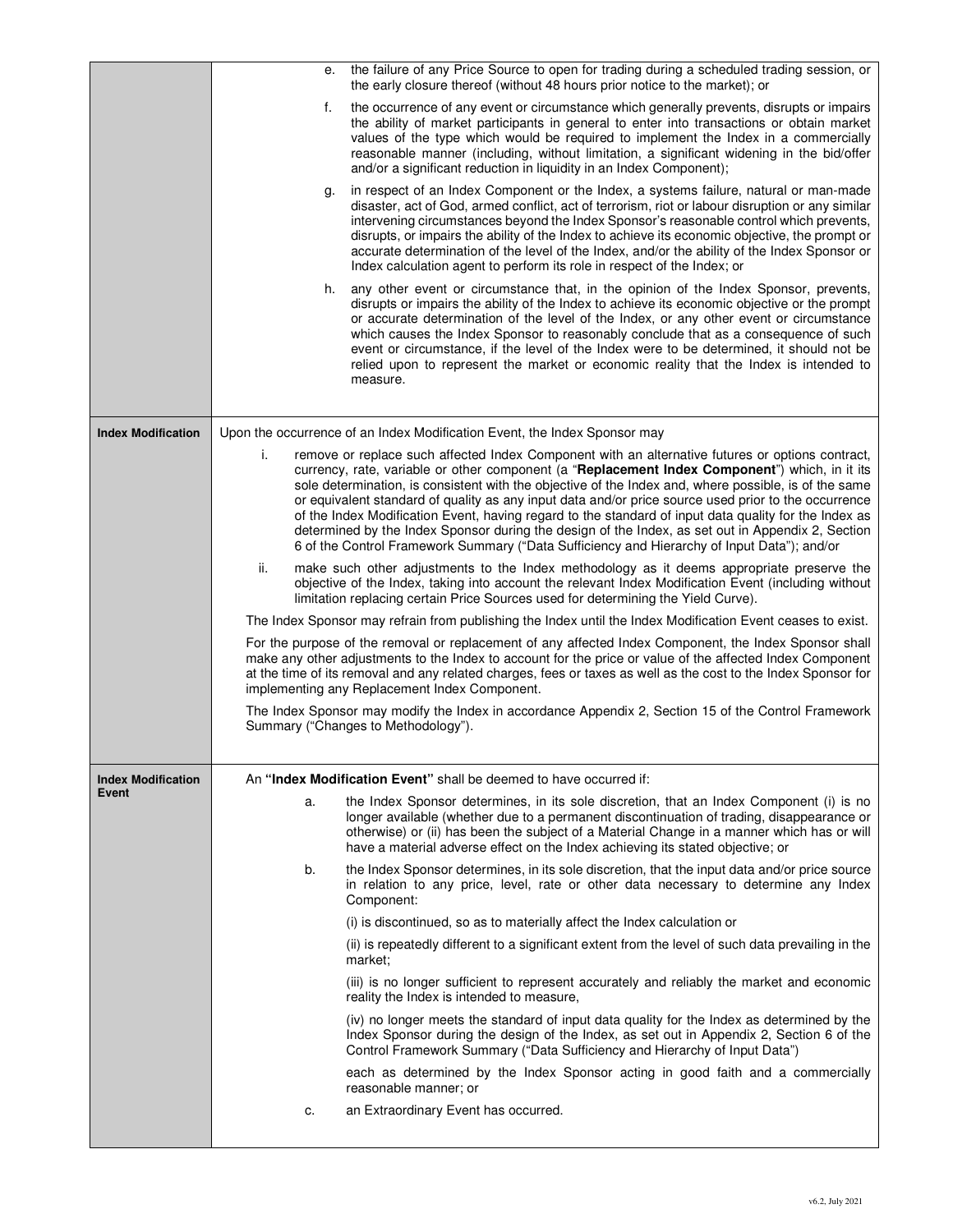|                           | е.  | the failure of any Price Source to open for trading during a scheduled trading session, or<br>the early closure thereof (without 48 hours prior notice to the market); or                                                                                                                                                                                                                                                                                                                                                                                                                                                                                                                                                        |
|---------------------------|-----|----------------------------------------------------------------------------------------------------------------------------------------------------------------------------------------------------------------------------------------------------------------------------------------------------------------------------------------------------------------------------------------------------------------------------------------------------------------------------------------------------------------------------------------------------------------------------------------------------------------------------------------------------------------------------------------------------------------------------------|
|                           | f.  | the occurrence of any event or circumstance which generally prevents, disrupts or impairs<br>the ability of market participants in general to enter into transactions or obtain market<br>values of the type which would be required to implement the Index in a commercially<br>reasonable manner (including, without limitation, a significant widening in the bid/offer<br>and/or a significant reduction in liquidity in an Index Component);                                                                                                                                                                                                                                                                                |
|                           | g.  | in respect of an Index Component or the Index, a systems failure, natural or man-made<br>disaster, act of God, armed conflict, act of terrorism, riot or labour disruption or any similar<br>intervening circumstances beyond the Index Sponsor's reasonable control which prevents,<br>disrupts, or impairs the ability of the Index to achieve its economic objective, the prompt or<br>accurate determination of the level of the Index, and/or the ability of the Index Sponsor or<br>Index calculation agent to perform its role in respect of the Index; or                                                                                                                                                                |
|                           | h.  | any other event or circumstance that, in the opinion of the Index Sponsor, prevents,<br>disrupts or impairs the ability of the Index to achieve its economic objective or the prompt<br>or accurate determination of the level of the Index, or any other event or circumstance<br>which causes the Index Sponsor to reasonably conclude that as a consequence of such<br>event or circumstance, if the level of the Index were to be determined, it should not be<br>relied upon to represent the market or economic reality that the Index is intended to<br>measure.                                                                                                                                                          |
|                           |     |                                                                                                                                                                                                                                                                                                                                                                                                                                                                                                                                                                                                                                                                                                                                  |
| <b>Index Modification</b> | i.  | Upon the occurrence of an Index Modification Event, the Index Sponsor may                                                                                                                                                                                                                                                                                                                                                                                                                                                                                                                                                                                                                                                        |
|                           |     | remove or replace such affected Index Component with an alternative futures or options contract,<br>currency, rate, variable or other component (a "Replacement Index Component") which, in it its<br>sole determination, is consistent with the objective of the Index and, where possible, is of the same<br>or equivalent standard of quality as any input data and/or price source used prior to the occurrence<br>of the Index Modification Event, having regard to the standard of input data quality for the Index as<br>determined by the Index Sponsor during the design of the Index, as set out in Appendix 2, Section<br>6 of the Control Framework Summary ("Data Sufficiency and Hierarchy of Input Data"); and/or |
|                           | ii. | make such other adjustments to the Index methodology as it deems appropriate preserve the<br>objective of the Index, taking into account the relevant Index Modification Event (including without<br>limitation replacing certain Price Sources used for determining the Yield Curve).                                                                                                                                                                                                                                                                                                                                                                                                                                           |
|                           |     | The Index Sponsor may refrain from publishing the Index until the Index Modification Event ceases to exist.                                                                                                                                                                                                                                                                                                                                                                                                                                                                                                                                                                                                                      |
|                           |     | For the purpose of the removal or replacement of any affected Index Component, the Index Sponsor shall<br>make any other adjustments to the Index to account for the price or value of the affected Index Component<br>at the time of its removal and any related charges, fees or taxes as well as the cost to the Index Sponsor for<br>implementing any Replacement Index Component.                                                                                                                                                                                                                                                                                                                                           |
|                           |     | The Index Sponsor may modify the Index in accordance Appendix 2, Section 15 of the Control Framework<br>Summary ("Changes to Methodology").                                                                                                                                                                                                                                                                                                                                                                                                                                                                                                                                                                                      |
| <b>Index Modification</b> |     | An "Index Modification Event" shall be deemed to have occurred if:                                                                                                                                                                                                                                                                                                                                                                                                                                                                                                                                                                                                                                                               |
| Event                     | a.  | the Index Sponsor determines, in its sole discretion, that an Index Component (i) is no<br>longer available (whether due to a permanent discontinuation of trading, disappearance or<br>otherwise) or (ii) has been the subject of a Material Change in a manner which has or will<br>have a material adverse effect on the Index achieving its stated objective; or                                                                                                                                                                                                                                                                                                                                                             |
|                           | b.  | the Index Sponsor determines, in its sole discretion, that the input data and/or price source<br>in relation to any price, level, rate or other data necessary to determine any Index<br>Component:                                                                                                                                                                                                                                                                                                                                                                                                                                                                                                                              |
|                           |     | (i) is discontinued, so as to materially affect the Index calculation or                                                                                                                                                                                                                                                                                                                                                                                                                                                                                                                                                                                                                                                         |
|                           |     | (ii) is repeatedly different to a significant extent from the level of such data prevailing in the<br>market;                                                                                                                                                                                                                                                                                                                                                                                                                                                                                                                                                                                                                    |
|                           |     | (iii) is no longer sufficient to represent accurately and reliably the market and economic<br>reality the Index is intended to measure,                                                                                                                                                                                                                                                                                                                                                                                                                                                                                                                                                                                          |
|                           |     | (iv) no longer meets the standard of input data quality for the Index as determined by the<br>Index Sponsor during the design of the Index, as set out in Appendix 2, Section 6 of the<br>Control Framework Summary ("Data Sufficiency and Hierarchy of Input Data")                                                                                                                                                                                                                                                                                                                                                                                                                                                             |
|                           |     | each as determined by the Index Sponsor acting in good faith and a commercially<br>reasonable manner; or                                                                                                                                                                                                                                                                                                                                                                                                                                                                                                                                                                                                                         |
|                           | c.  | an Extraordinary Event has occurred.                                                                                                                                                                                                                                                                                                                                                                                                                                                                                                                                                                                                                                                                                             |
|                           |     |                                                                                                                                                                                                                                                                                                                                                                                                                                                                                                                                                                                                                                                                                                                                  |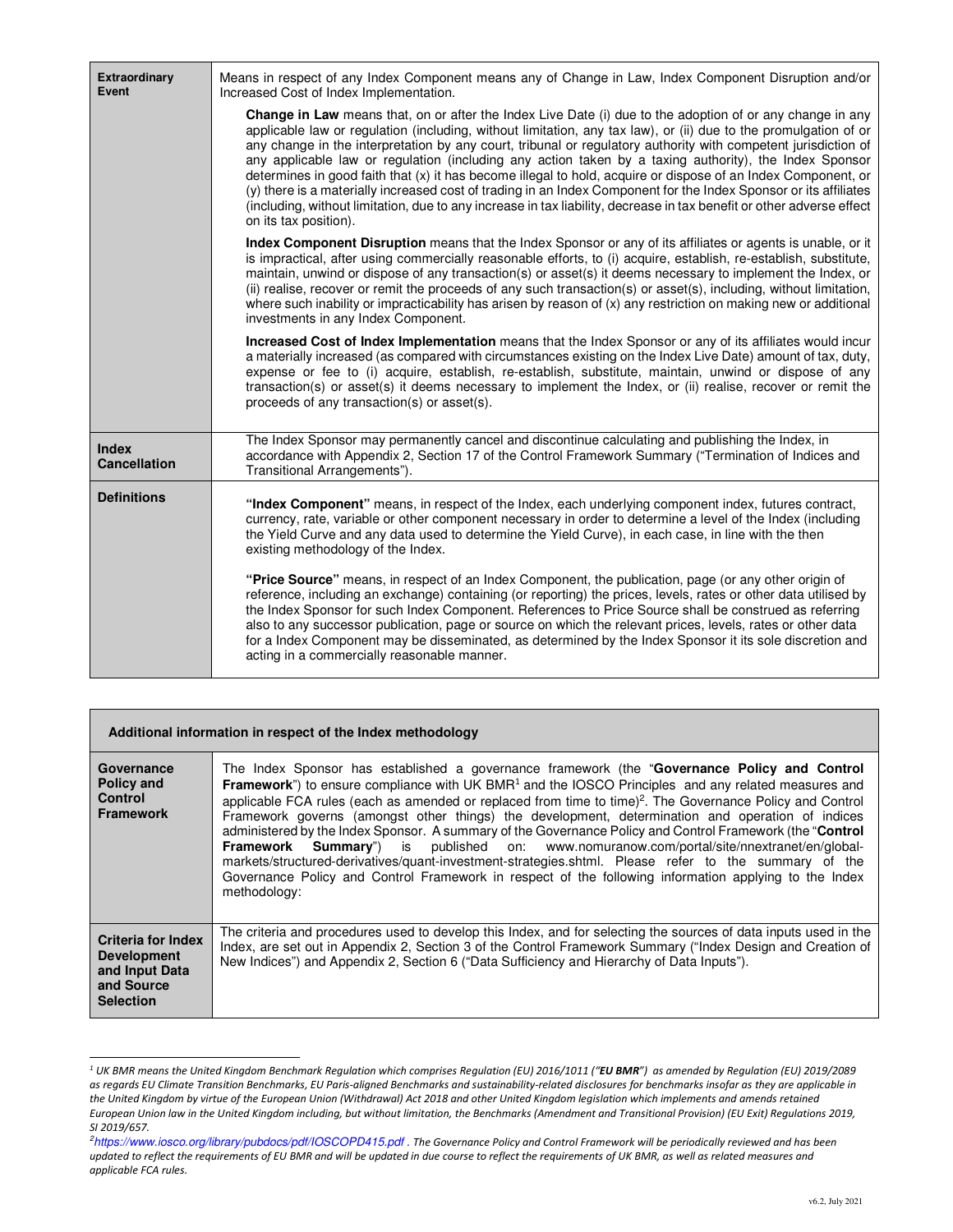| Extraordinary<br>Event              | Means in respect of any Index Component means any of Change in Law, Index Component Disruption and/or<br>Increased Cost of Index Implementation.                                                                                                                                                                                                                                                                                                                                                                                                                                                                                                                                                                                                                                                                                                         |
|-------------------------------------|----------------------------------------------------------------------------------------------------------------------------------------------------------------------------------------------------------------------------------------------------------------------------------------------------------------------------------------------------------------------------------------------------------------------------------------------------------------------------------------------------------------------------------------------------------------------------------------------------------------------------------------------------------------------------------------------------------------------------------------------------------------------------------------------------------------------------------------------------------|
|                                     | <b>Change in Law</b> means that, on or after the Index Live Date (i) due to the adoption of or any change in any<br>applicable law or regulation (including, without limitation, any tax law), or (ii) due to the promulgation of or<br>any change in the interpretation by any court, tribunal or regulatory authority with competent jurisdiction of<br>any applicable law or regulation (including any action taken by a taxing authority), the Index Sponsor<br>determines in good faith that (x) it has become illegal to hold, acquire or dispose of an Index Component, or<br>(y) there is a materially increased cost of trading in an Index Component for the Index Sponsor or its affiliates<br>(including, without limitation, due to any increase in tax liability, decrease in tax benefit or other adverse effect<br>on its tax position). |
|                                     | Index Component Disruption means that the Index Sponsor or any of its affiliates or agents is unable, or it<br>is impractical, after using commercially reasonable efforts, to (i) acquire, establish, re-establish, substitute,<br>maintain, unwind or dispose of any transaction(s) or asset(s) it deems necessary to implement the Index, or<br>(ii) realise, recover or remit the proceeds of any such transaction(s) or asset(s), including, without limitation,<br>where such inability or impracticability has arisen by reason of (x) any restriction on making new or additional<br>investments in any Index Component.                                                                                                                                                                                                                         |
|                                     | Increased Cost of Index Implementation means that the Index Sponsor or any of its affiliates would incur<br>a materially increased (as compared with circumstances existing on the Index Live Date) amount of tax, duty,<br>expense or fee to (i) acquire, establish, re-establish, substitute, maintain, unwind or dispose of any<br>transaction(s) or asset(s) it deems necessary to implement the Index, or (ii) realise, recover or remit the<br>proceeds of any transaction(s) or asset(s).                                                                                                                                                                                                                                                                                                                                                         |
| <b>Index</b><br><b>Cancellation</b> | The Index Sponsor may permanently cancel and discontinue calculating and publishing the Index, in<br>accordance with Appendix 2, Section 17 of the Control Framework Summary ("Termination of Indices and<br>Transitional Arrangements").                                                                                                                                                                                                                                                                                                                                                                                                                                                                                                                                                                                                                |
| <b>Definitions</b>                  | "Index Component" means, in respect of the Index, each underlying component index, futures contract,<br>currency, rate, variable or other component necessary in order to determine a level of the Index (including<br>the Yield Curve and any data used to determine the Yield Curve), in each case, in line with the then<br>existing methodology of the Index.                                                                                                                                                                                                                                                                                                                                                                                                                                                                                        |
|                                     | "Price Source" means, in respect of an Index Component, the publication, page (or any other origin of<br>reference, including an exchange) containing (or reporting) the prices, levels, rates or other data utilised by<br>the Index Sponsor for such Index Component. References to Price Source shall be construed as referring<br>also to any successor publication, page or source on which the relevant prices, levels, rates or other data<br>for a Index Component may be disseminated, as determined by the Index Sponsor it its sole discretion and<br>acting in a commercially reasonable manner.                                                                                                                                                                                                                                             |

|                                                                                                     | Additional information in respect of the Index methodology                                                                                                                                                                                                                                                                                                                                                                                                                                                                                                                                                                                                                                                                                                                                                                                                                                      |
|-----------------------------------------------------------------------------------------------------|-------------------------------------------------------------------------------------------------------------------------------------------------------------------------------------------------------------------------------------------------------------------------------------------------------------------------------------------------------------------------------------------------------------------------------------------------------------------------------------------------------------------------------------------------------------------------------------------------------------------------------------------------------------------------------------------------------------------------------------------------------------------------------------------------------------------------------------------------------------------------------------------------|
| Governance<br>Policy and<br><b>Control</b><br><b>Framework</b>                                      | The Index Sponsor has established a governance framework (the "Governance Policy and Control"<br><b>Framework</b> ") to ensure compliance with UK BMR <sup>1</sup> and the IOSCO Principles and any related measures and<br>applicable FCA rules (each as amended or replaced from time to time) <sup>2</sup> . The Governance Policy and Control<br>Framework governs (amongst other things) the development, determination and operation of indices<br>administered by the Index Sponsor. A summary of the Governance Policy and Control Framework (the "Control<br>Framework Summary") is published on: www.nomuranow.com/portal/site/nnextranet/en/global-<br>markets/structured-derivatives/quant-investment-strategies.shtml. Please refer to the summary of the<br>Governance Policy and Control Framework in respect of the following information applying to the Index<br>methodology: |
| <b>Criteria for Index</b><br><b>Development</b><br>and Input Data<br>and Source<br><b>Selection</b> | The criteria and procedures used to develop this Index, and for selecting the sources of data inputs used in the<br>Index, are set out in Appendix 2, Section 3 of the Control Framework Summary ("Index Design and Creation of<br>New Indices") and Appendix 2, Section 6 ("Data Sufficiency and Hierarchy of Data Inputs").                                                                                                                                                                                                                                                                                                                                                                                                                                                                                                                                                                   |

 *1 UK BMR means the United Kingdom Benchmark Regulation which comprises Regulation (EU) 2016/1011 ("EU BMR") as amended by Regulation (EU) 2019/2089 as regards EU Climate Transition Benchmarks, EU Paris-aligned Benchmarks and sustainability-related disclosures for benchmarks insofar as they are applicable in the United Kingdom by virtue of the European Union (Withdrawal) Act 2018 and other United Kingdom legislation which implements and amends retained European Union law in the United Kingdom including, but without limitation, the Benchmarks (Amendment and Transitional Provision) (EU Exit) Regulations 2019, SI 2019/657.* 

*<sup>2</sup>https://www.iosco.org/library/pubdocs/pdf/IOSCOPD415.pdf . The Governance Policy and Control Framework will be periodically reviewed and has been updated to reflect the requirements of EU BMR and will be updated in due course to reflect the requirements of UK BMR, as well as related measures and applicable FCA rules.*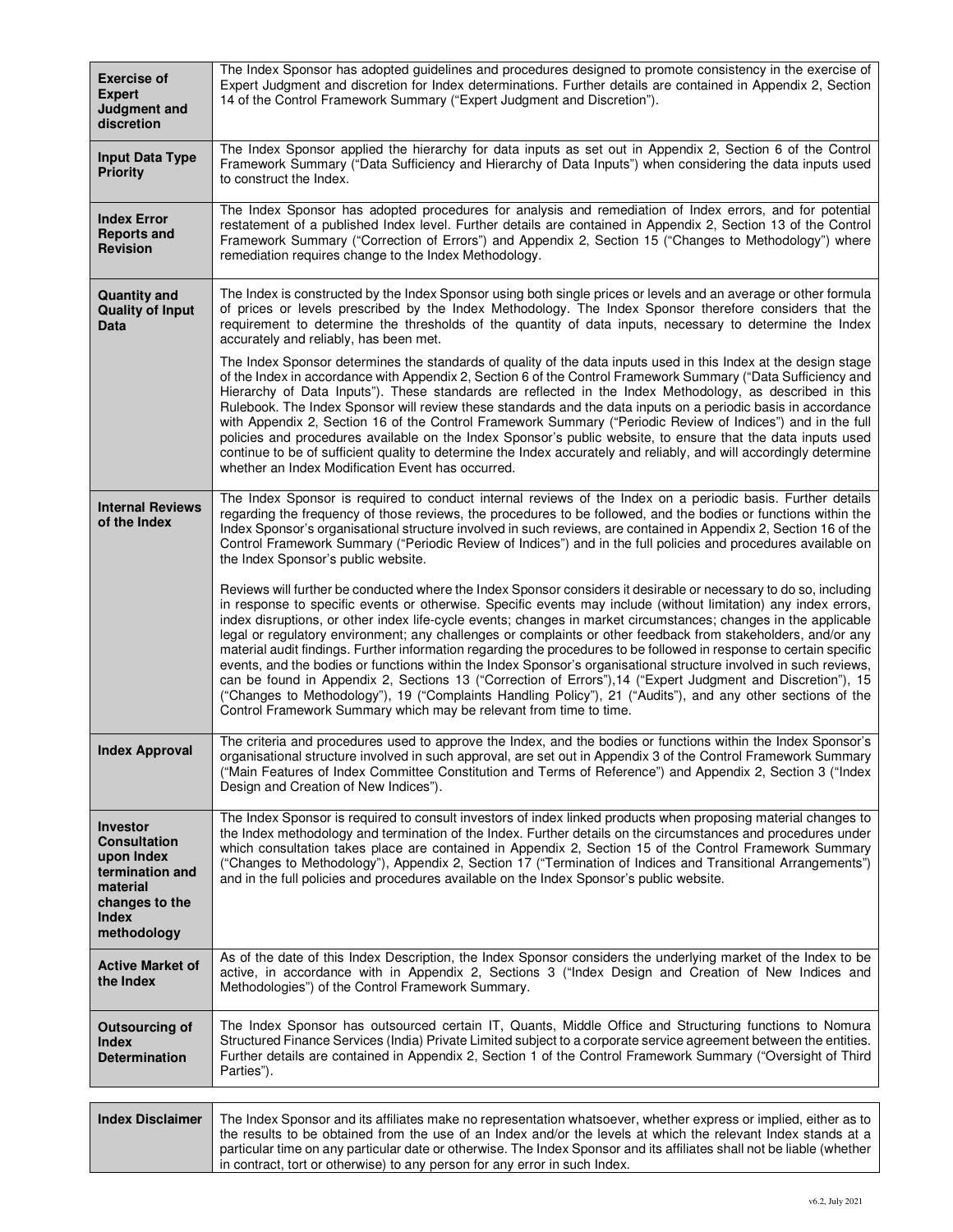| <b>Exercise of</b><br><b>Expert</b><br>Judgment and<br>discretion                                                             | The Index Sponsor has adopted guidelines and procedures designed to promote consistency in the exercise of<br>Expert Judgment and discretion for Index determinations. Further details are contained in Appendix 2, Section<br>14 of the Control Framework Summary ("Expert Judgment and Discretion").                                                                                                                                                                                                                                                                                                                                                                                                                                                                                                                                                                                                                                                                                                                    |
|-------------------------------------------------------------------------------------------------------------------------------|---------------------------------------------------------------------------------------------------------------------------------------------------------------------------------------------------------------------------------------------------------------------------------------------------------------------------------------------------------------------------------------------------------------------------------------------------------------------------------------------------------------------------------------------------------------------------------------------------------------------------------------------------------------------------------------------------------------------------------------------------------------------------------------------------------------------------------------------------------------------------------------------------------------------------------------------------------------------------------------------------------------------------|
| <b>Input Data Type</b><br><b>Priority</b>                                                                                     | The Index Sponsor applied the hierarchy for data inputs as set out in Appendix 2, Section 6 of the Control<br>Framework Summary ("Data Sufficiency and Hierarchy of Data Inputs") when considering the data inputs used<br>to construct the Index.                                                                                                                                                                                                                                                                                                                                                                                                                                                                                                                                                                                                                                                                                                                                                                        |
| <b>Index Error</b><br><b>Reports and</b><br><b>Revision</b>                                                                   | The Index Sponsor has adopted procedures for analysis and remediation of Index errors, and for potential<br>restatement of a published Index level. Further details are contained in Appendix 2, Section 13 of the Control<br>Framework Summary ("Correction of Errors") and Appendix 2, Section 15 ("Changes to Methodology") where<br>remediation requires change to the Index Methodology.                                                                                                                                                                                                                                                                                                                                                                                                                                                                                                                                                                                                                             |
| <b>Quantity and</b><br><b>Quality of Input</b><br>Data                                                                        | The Index is constructed by the Index Sponsor using both single prices or levels and an average or other formula<br>of prices or levels prescribed by the Index Methodology. The Index Sponsor therefore considers that the<br>requirement to determine the thresholds of the quantity of data inputs, necessary to determine the Index<br>accurately and reliably, has been met.                                                                                                                                                                                                                                                                                                                                                                                                                                                                                                                                                                                                                                         |
|                                                                                                                               | The Index Sponsor determines the standards of quality of the data inputs used in this Index at the design stage<br>of the Index in accordance with Appendix 2, Section 6 of the Control Framework Summary ("Data Sufficiency and<br>Hierarchy of Data Inputs"). These standards are reflected in the Index Methodology, as described in this<br>Rulebook. The Index Sponsor will review these standards and the data inputs on a periodic basis in accordance<br>with Appendix 2, Section 16 of the Control Framework Summary ("Periodic Review of Indices") and in the full<br>policies and procedures available on the Index Sponsor's public website, to ensure that the data inputs used<br>continue to be of sufficient quality to determine the Index accurately and reliably, and will accordingly determine<br>whether an Index Modification Event has occurred.                                                                                                                                                  |
| <b>Internal Reviews</b><br>of the Index                                                                                       | The Index Sponsor is required to conduct internal reviews of the Index on a periodic basis. Further details<br>regarding the frequency of those reviews, the procedures to be followed, and the bodies or functions within the<br>Index Sponsor's organisational structure involved in such reviews, are contained in Appendix 2, Section 16 of the<br>Control Framework Summary ("Periodic Review of Indices") and in the full policies and procedures available on<br>the Index Sponsor's public website.                                                                                                                                                                                                                                                                                                                                                                                                                                                                                                               |
|                                                                                                                               | Reviews will further be conducted where the Index Sponsor considers it desirable or necessary to do so, including<br>in response to specific events or otherwise. Specific events may include (without limitation) any index errors,<br>index disruptions, or other index life-cycle events; changes in market circumstances; changes in the applicable<br>legal or regulatory environment; any challenges or complaints or other feedback from stakeholders, and/or any<br>material audit findings. Further information regarding the procedures to be followed in response to certain specific<br>events, and the bodies or functions within the Index Sponsor's organisational structure involved in such reviews,<br>can be found in Appendix 2, Sections 13 ("Correction of Errors"), 14 ("Expert Judgment and Discretion"), 15<br>("Changes to Methodology"), 19 ("Complaints Handling Policy"), 21 ("Audits"), and any other sections of the<br>Control Framework Summary which may be relevant from time to time. |
| <b>Index Approval</b>                                                                                                         | The criteria and procedures used to approve the Index, and the bodies or functions within the Index Sponsor's<br>organisational structure involved in such approval, are set out in Appendix 3 of the Control Framework Summary<br>("Main Features of Index Committee Constitution and Terms of Reference") and Appendix 2, Section 3 ("Index<br>Design and Creation of New Indices").                                                                                                                                                                                                                                                                                                                                                                                                                                                                                                                                                                                                                                    |
| <b>Investor</b><br>Consultation<br>upon Index<br>termination and<br>material<br>changes to the<br><b>Index</b><br>methodology | The Index Sponsor is required to consult investors of index linked products when proposing material changes to<br>the Index methodology and termination of the Index. Further details on the circumstances and procedures under<br>which consultation takes place are contained in Appendix 2, Section 15 of the Control Framework Summary<br>("Changes to Methodology"), Appendix 2, Section 17 ("Termination of Indices and Transitional Arrangements")<br>and in the full policies and procedures available on the Index Sponsor's public website.                                                                                                                                                                                                                                                                                                                                                                                                                                                                     |
| <b>Active Market of</b><br>the Index                                                                                          | As of the date of this Index Description, the Index Sponsor considers the underlying market of the Index to be<br>active, in accordance with in Appendix 2, Sections 3 ("Index Design and Creation of New Indices and<br>Methodologies") of the Control Framework Summary.                                                                                                                                                                                                                                                                                                                                                                                                                                                                                                                                                                                                                                                                                                                                                |
| <b>Outsourcing of</b><br><b>Index</b><br><b>Determination</b>                                                                 | The Index Sponsor has outsourced certain IT, Quants, Middle Office and Structuring functions to Nomura<br>Structured Finance Services (India) Private Limited subject to a corporate service agreement between the entities.<br>Further details are contained in Appendix 2, Section 1 of the Control Framework Summary ("Oversight of Third<br>Parties").                                                                                                                                                                                                                                                                                                                                                                                                                                                                                                                                                                                                                                                                |
| <b>Index Disclaimer</b>                                                                                                       | The Index Sponsor and its affiliates make no representation whatsoever, whether express or implied, either as to                                                                                                                                                                                                                                                                                                                                                                                                                                                                                                                                                                                                                                                                                                                                                                                                                                                                                                          |
|                                                                                                                               | the results to be obtained from the use of an Index and/or the levels at which the relevant Index stands at a                                                                                                                                                                                                                                                                                                                                                                                                                                                                                                                                                                                                                                                                                                                                                                                                                                                                                                             |

particular time on any particular date or otherwise. The Index Sponsor and its affiliates shall not be liable (whether

in contract, tort or otherwise) to any person for any error in such Index.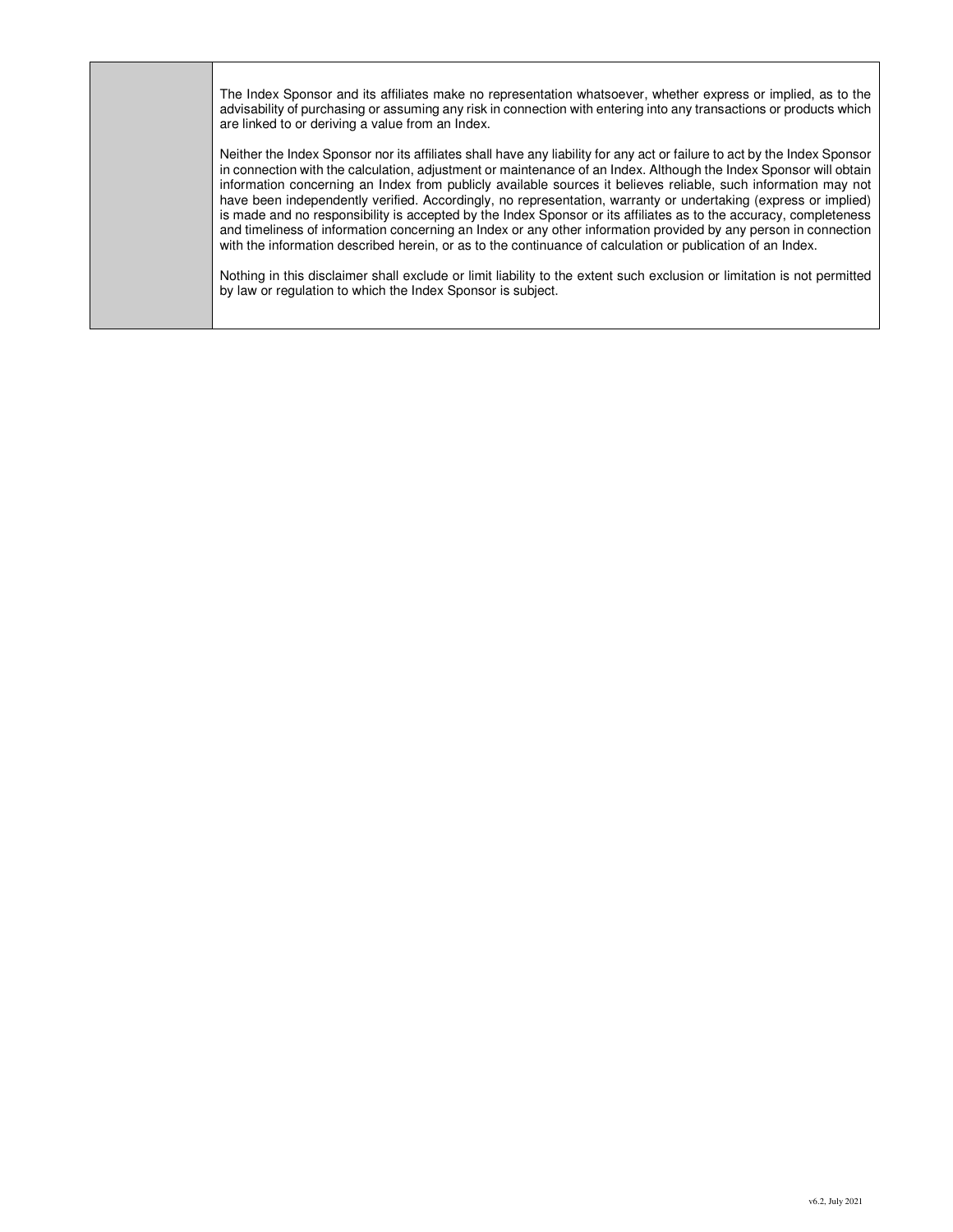The Index Sponsor and its affiliates make no representation whatsoever, whether express or implied, as to the advisability of purchasing or assuming any risk in connection with entering into any transactions or products which are linked to or deriving a value from an Index.

Neither the Index Sponsor nor its affiliates shall have any liability for any act or failure to act by the Index Sponsor in connection with the calculation, adjustment or maintenance of an Index. Although the Index Sponsor will obtain information concerning an Index from publicly available sources it believes reliable, such information may not have been independently verified. Accordingly, no representation, warranty or undertaking (express or implied) is made and no responsibility is accepted by the Index Sponsor or its affiliates as to the accuracy, completeness and timeliness of information concerning an Index or any other information provided by any person in connection with the information described herein, or as to the continuance of calculation or publication of an Index.

Nothing in this disclaimer shall exclude or limit liability to the extent such exclusion or limitation is not permitted by law or regulation to which the Index Sponsor is subject.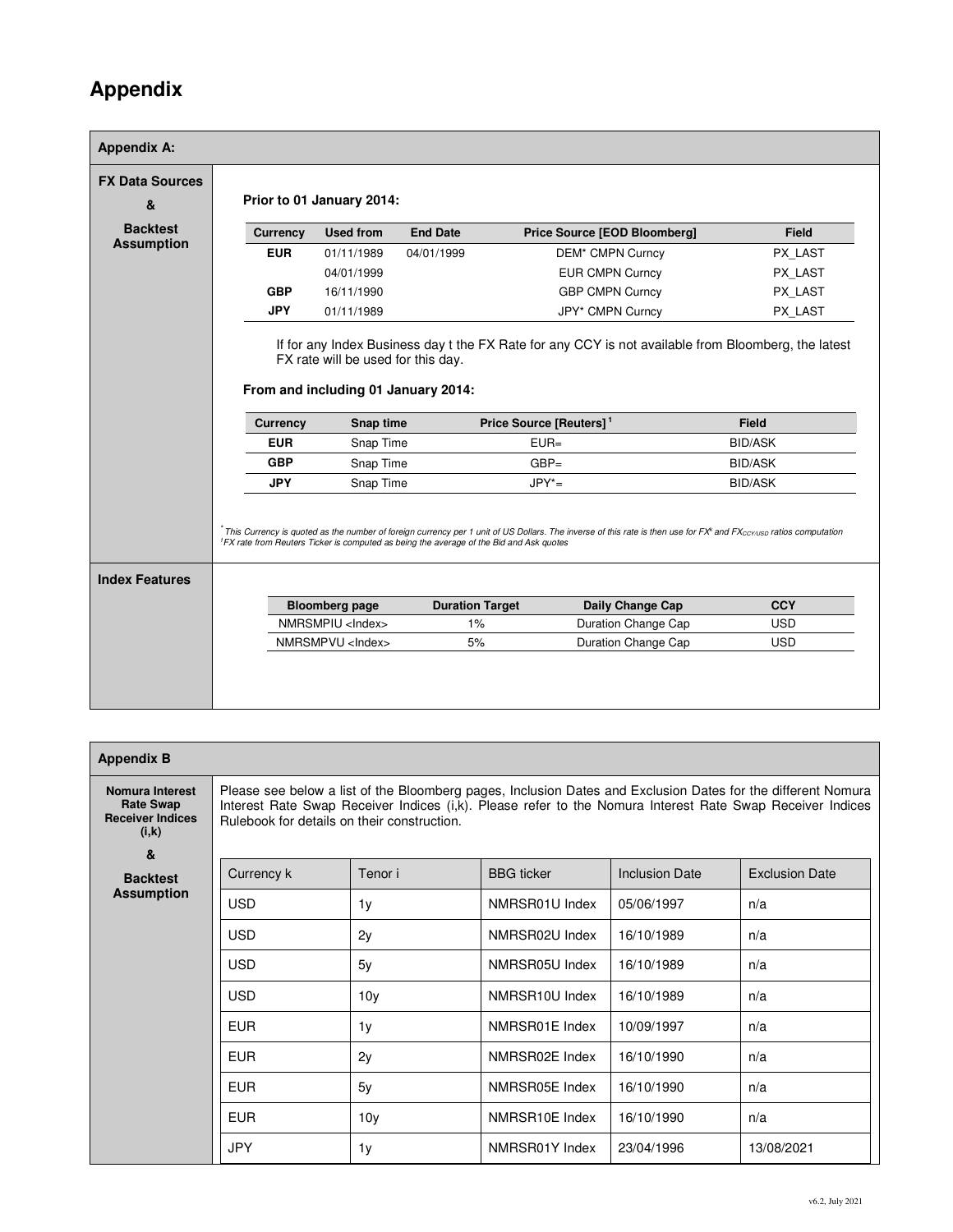## **Appendix**

| <b>FX Data Sources</b><br>& |                 | Prior to 01 January 2014:                        |                 |                                     |                |
|-----------------------------|-----------------|--------------------------------------------------|-----------------|-------------------------------------|----------------|
| <b>Backtest</b>             | <b>Currency</b> | <b>Used from</b>                                 | <b>End Date</b> | <b>Price Source [EOD Bloomberg]</b> | <b>Field</b>   |
| <b>Assumption</b>           | <b>EUR</b>      | 01/11/1989                                       | 04/01/1999      | DEM* CMPN Curncy                    | PX LAST        |
|                             |                 | 04/01/1999                                       |                 | <b>EUR CMPN Curncy</b>              | PX LAST        |
|                             | <b>GBP</b>      | 16/11/1990                                       |                 | <b>GBP CMPN Curncy</b>              | PX LAST        |
|                             | <b>JPY</b>      | 01/11/1989                                       |                 | JPY* CMPN Curncy                    | PX LAST        |
|                             | <b>Currency</b> | From and including 01 January 2014:<br>Snap time |                 | Price Source [Reuters] <sup>1</sup> | <b>Field</b>   |
|                             |                 |                                                  |                 |                                     |                |
|                             | <b>EUR</b>      | Snap Time                                        |                 | $EUR =$                             | <b>BID/ASK</b> |
|                             | <b>GBP</b>      | Snap Time                                        |                 | $GBP =$                             | <b>BID/ASK</b> |
|                             | <b>JPY</b>      | Snap Time                                        |                 | $JPY^* =$                           | <b>BID/ASK</b> |
|                             |                 |                                                  |                 |                                     |                |

| <b>Appendix B</b>                                                       |                                             |                 |                             |                       |                                                                                                                                                                                                                           |
|-------------------------------------------------------------------------|---------------------------------------------|-----------------|-----------------------------|-----------------------|---------------------------------------------------------------------------------------------------------------------------------------------------------------------------------------------------------------------------|
| Nomura Interest<br><b>Rate Swap</b><br><b>Receiver Indices</b><br>(i,k) | Rulebook for details on their construction. |                 |                             |                       | Please see below a list of the Bloomberg pages, Inclusion Dates and Exclusion Dates for the different Nomura<br>Interest Rate Swap Receiver Indices (i,k). Please refer to the Nomura Interest Rate Swap Receiver Indices |
| &                                                                       |                                             |                 |                             |                       |                                                                                                                                                                                                                           |
| <b>Backtest</b><br><b>Assumption</b>                                    | Currency k                                  | Tenor i         | <b>BBG</b> ticker           | <b>Inclusion Date</b> | <b>Exclusion Date</b>                                                                                                                                                                                                     |
|                                                                         | <b>USD</b>                                  | 1 <sub>y</sub>  | NMRSR01U Index              | 05/06/1997            | n/a                                                                                                                                                                                                                       |
|                                                                         | <b>USD</b>                                  | 2y              | NMRSR02U Index              | 16/10/1989            | n/a                                                                                                                                                                                                                       |
|                                                                         | <b>USD</b>                                  | 5y              | NMRSR05U Index              | 16/10/1989            | n/a                                                                                                                                                                                                                       |
|                                                                         | <b>USD</b>                                  | 10 <sub>V</sub> | NMRSR <sub>10</sub> U Index | 16/10/1989            | n/a                                                                                                                                                                                                                       |
|                                                                         | <b>EUR</b>                                  | 1y              | NMRSR01E Index              | 10/09/1997            | n/a                                                                                                                                                                                                                       |
|                                                                         | <b>EUR</b>                                  | 2y              | NMRSR02E Index              | 16/10/1990            | n/a                                                                                                                                                                                                                       |
|                                                                         | <b>EUR</b>                                  | 5y              | NMRSR05E Index              | 16/10/1990            | n/a                                                                                                                                                                                                                       |
|                                                                         | <b>EUR</b>                                  | 10 <sub>V</sub> | NMRSR <sub>10</sub> E Index | 16/10/1990            | n/a                                                                                                                                                                                                                       |
|                                                                         | <b>JPY</b>                                  | 1y              | NMRSR01Y Index              | 23/04/1996            | 13/08/2021                                                                                                                                                                                                                |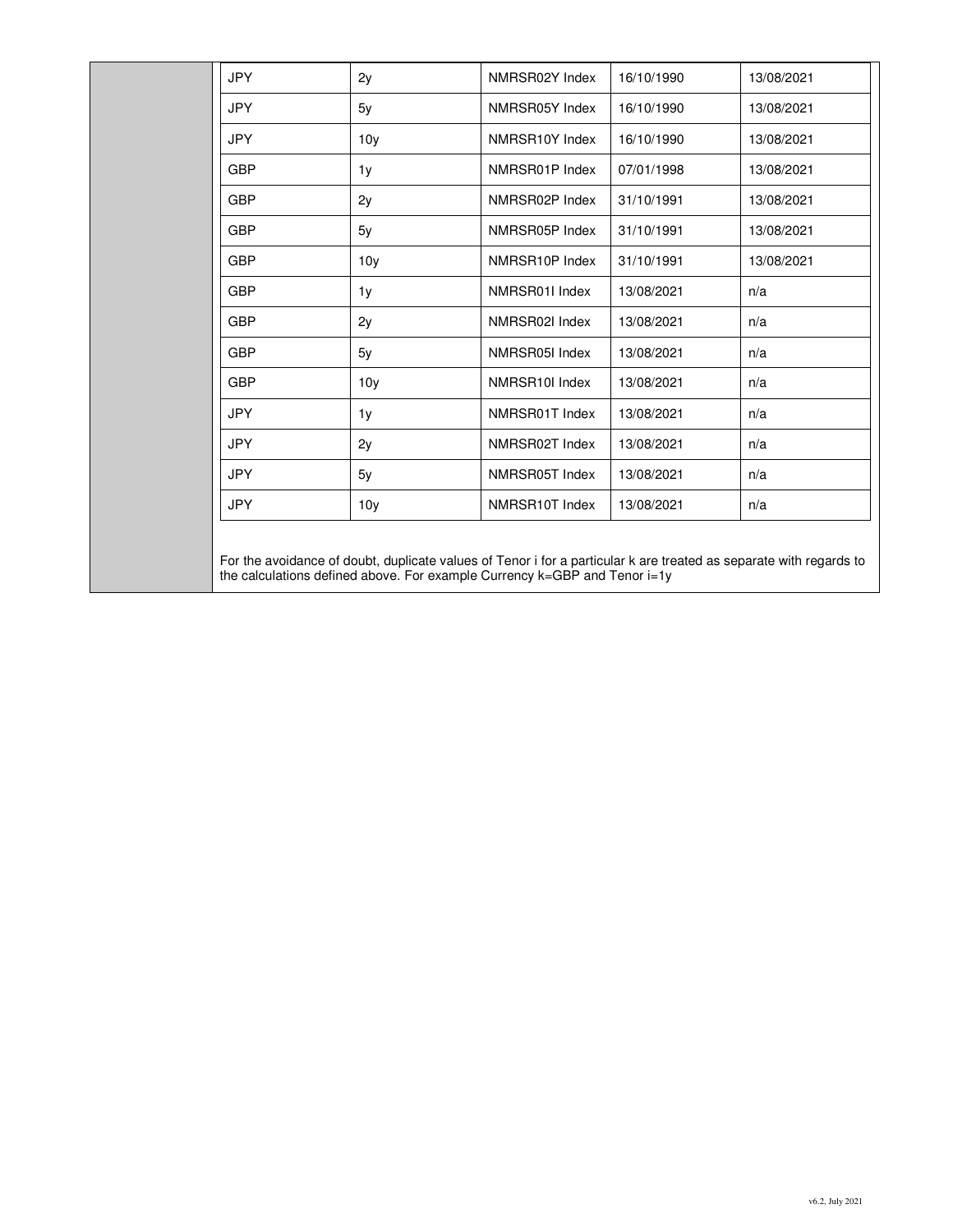| <b>JPY</b> | 2y              | NMRSR02Y Index | 16/10/1990 | 13/08/2021 |
|------------|-----------------|----------------|------------|------------|
| <b>JPY</b> | 5y              | NMRSR05Y Index | 16/10/1990 | 13/08/2021 |
| <b>JPY</b> | 10 <sub>y</sub> | NMRSR10Y Index | 16/10/1990 | 13/08/2021 |
| <b>GBP</b> | 1y              | NMRSR01P Index | 07/01/1998 | 13/08/2021 |
| <b>GBP</b> | 2y              | NMRSR02P Index | 31/10/1991 | 13/08/2021 |
| <b>GBP</b> | 5y              | NMRSR05P Index | 31/10/1991 | 13/08/2021 |
| <b>GBP</b> | 10 <sub>y</sub> | NMRSR10P Index | 31/10/1991 | 13/08/2021 |
| <b>GBP</b> | 1 <sub>V</sub>  | NMRSR01I Index | 13/08/2021 | n/a        |
| <b>GBP</b> | 2y              | NMRSR02I Index | 13/08/2021 | n/a        |
| <b>GBP</b> | 5y              | NMRSR05I Index | 13/08/2021 | n/a        |
| <b>GBP</b> | 10 <sub>y</sub> | NMRSR10I Index | 13/08/2021 | n/a        |
| <b>JPY</b> | 1y              | NMRSR01T Index | 13/08/2021 | n/a        |
| <b>JPY</b> | 2y              | NMRSR02T Index | 13/08/2021 | n/a        |
| <b>JPY</b> | 5y              | NMRSR05T Index | 13/08/2021 | n/a        |
| <b>JPY</b> | 10y             | NMRSR10T Index | 13/08/2021 | n/a        |

For the avoidance of doubt, duplicate values of Tenor i for a particular k are treated as separate with regards to the calculations defined above. For example Currency k=GBP and Tenor i=1y